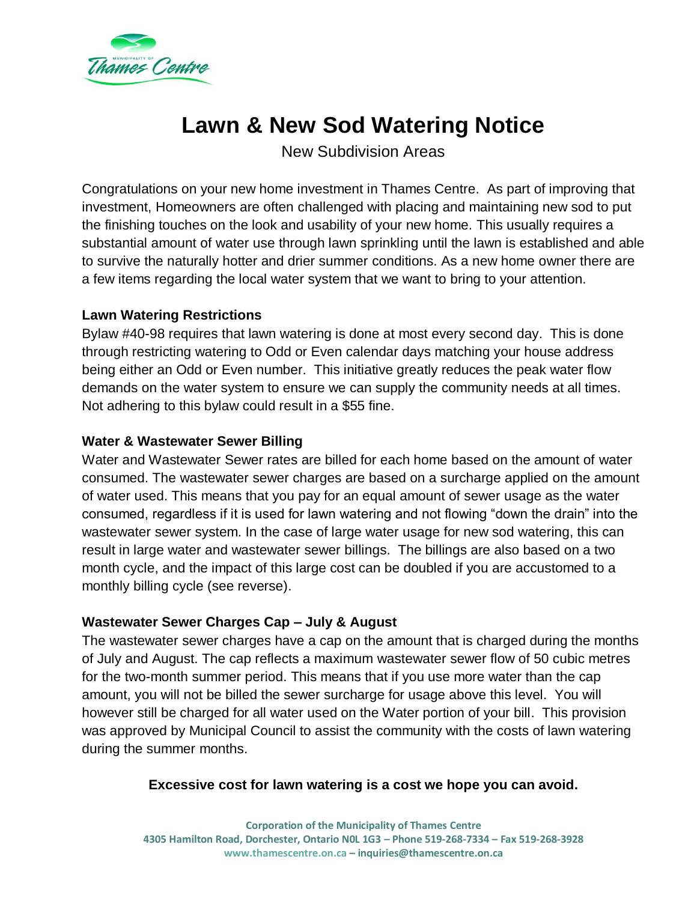

# **Lawn & New Sod Watering Notice**

New Subdivision Areas

Congratulations on your new home investment in Thames Centre. As part of improving that investment, Homeowners are often challenged with placing and maintaining new sod to put the finishing touches on the look and usability of your new home. This usually requires a substantial amount of water use through lawn sprinkling until the lawn is established and able to survive the naturally hotter and drier summer conditions. As a new home owner there are a few items regarding the local water system that we want to bring to your attention.

## **Lawn Watering Restrictions**

Bylaw #40-98 requires that lawn watering is done at most every second day. This is done through restricting watering to Odd or Even calendar days matching your house address being either an Odd or Even number. This initiative greatly reduces the peak water flow demands on the water system to ensure we can supply the community needs at all times. Not adhering to this bylaw could result in a \$55 fine.

## **Water & Wastewater Sewer Billing**

Water and Wastewater Sewer rates are billed for each home based on the amount of water consumed. The wastewater sewer charges are based on a surcharge applied on the amount of water used. This means that you pay for an equal amount of sewer usage as the water consumed, regardless if it is used for lawn watering and not flowing "down the drain" into the wastewater sewer system. In the case of large water usage for new sod watering, this can result in large water and wastewater sewer billings. The billings are also based on a two month cycle, and the impact of this large cost can be doubled if you are accustomed to a monthly billing cycle (see reverse).

#### **Wastewater Sewer Charges Cap – July & August**

The wastewater sewer charges have a cap on the amount that is charged during the months of July and August. The cap reflects a maximum wastewater sewer flow of 50 cubic metres for the two-month summer period. This means that if you use more water than the cap amount, you will not be billed the sewer surcharge for usage above this level. You will however still be charged for all water used on the Water portion of your bill. This provision was approved by Municipal Council to assist the community with the costs of lawn watering during the summer months.

#### **Excessive cost for lawn watering is a cost we hope you can avoid.**